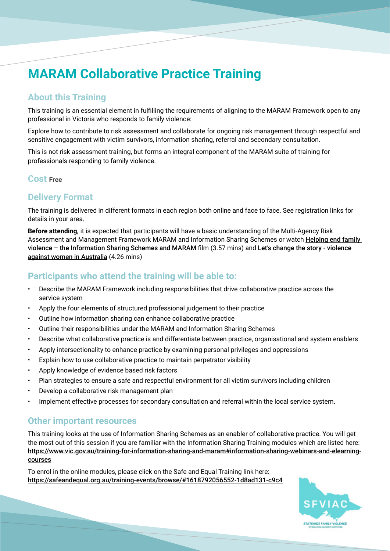## **MARAM Collaborative Practice Training**

### **About this Training**

This training is an essential element in fulfilling the requirements of aligning to the MARAM Framework open to any professional in Victoria who responds to family violence:

Explore how to contribute to risk assessment and collaborate for ongoing risk management through respectful and sensitive engagement with victim survivors, information sharing, referral and secondary consultation.

This is not risk assessment training, but forms an integral component of the MARAM suite of training for professionals responding to family violence.

#### **Cost Free**

### **Delivery Format**

The training is delivered in different formats in each region both online and face to face. See registration links for details in your area.

**Before attending,** it is expected that participants will have a basic understanding of the Multi-Agency Risk Assessment and Management Framework MARAM and Information Sharing Schemes or watch Helping end family [violence – the Information Sharing Schemes and MARAM](https://www.youtube.com/watch?v=J2rNHOkdV2E) film (3.57 mins) and Let's change the story - violence [against women in Australia](https://www.youtube.com/watch?v=fLUVWZvVZXw) (4.26 mins)

### **Participants who attend the training will be able to:**

- Describe the MARAM Framework including responsibilities that drive collaborative practice across the service system
- Apply the four elements of structured professional judgement to their practice
- Outline how information sharing can enhance collaborative practice
- Outline their responsibilities under the MARAM and Information Sharing Schemes
- Describe what collaborative practice is and differentiate between practice, organisational and system enablers
- Apply intersectionality to enhance practice by examining personal privileges and oppressions
- Explain how to use collaborative practice to maintain perpetrator visibility
- Apply knowledge of evidence based risk factors
- Plan strategies to ensure a safe and respectful environment for all victim survivors including children
- Develop a collaborative risk management plan
- Implement effective processes for secondary consultation and referral within the local service system.

### **Other important resources**

This training looks at the use of Information Sharing Schemes as an enabler of collaborative practice. You will get the most out of this session if you are familiar with the Information Sharing Training modules which are listed here: [https://www.vic.gov.au/training-for-information-sharing-and-maram#information-sharing-webinars-and-elearning](https://www.vic.gov.au/training-for-information-sharing-and-maram#information-sharing-webinars-and-elearning-courses)[courses](https://www.vic.gov.au/training-for-information-sharing-and-maram#information-sharing-webinars-and-elearning-courses)

To enrol in the online modules, please click on the Safe and Equal Training link here: <https://safeandequal.org.au/training-events/browse/#1618792056552-1d8ad131-c9c4>